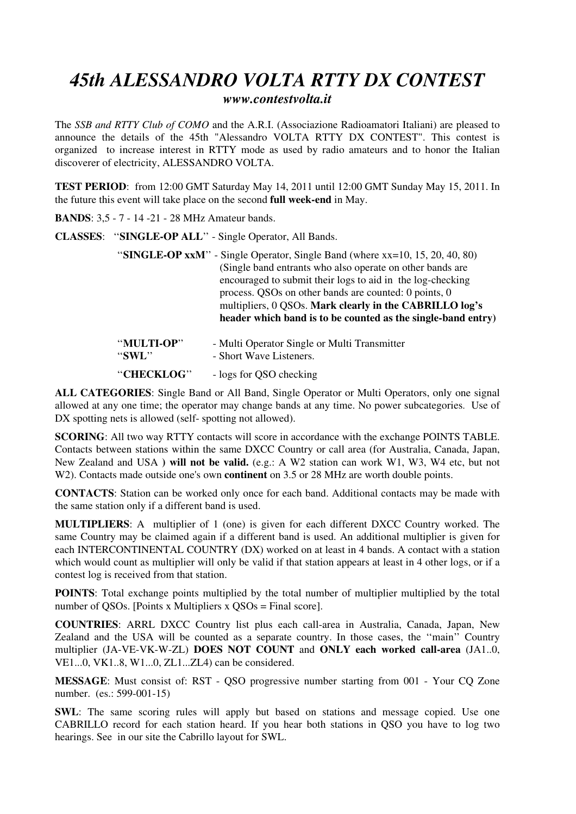## *45th ALESSANDRO VOLTA RTTY DX CONTEST www.contestvolta.it*

The *SSB and RTTY Club of COMO* and the A.R.I. (Associazione Radioamatori Italiani) are pleased to announce the details of the 45th "Alessandro VOLTA RTTY DX CONTEST". This contest is organized to increase interest in RTTY mode as used by radio amateurs and to honor the Italian discoverer of electricity, ALESSANDRO VOLTA.

**TEST PERIOD**: from 12:00 GMT Saturday May 14, 2011 until 12:00 GMT Sunday May 15, 2011. In the future this event will take place on the second **full week-end** in May.

**BANDS**: 3,5 - 7 - 14 -21 - 28 MHz Amateur bands.

## **CLASSES**: ''**SINGLE-OP ALL**'' - Single Operator, All Bands.

''**SINGLE-OP xxM**'' - Single Operator, Single Band (where xx=10, 15, 20, 40, 80) (Single band entrants who also operate on other bands are encouraged to submit their logs to aid in the log-checking process. QSOs on other bands are counted: 0 points, 0 multipliers, 0 QSOs. **Mark clearly in the CABRILLO log's header which band is to be counted as the single-band entry)**

| "MULTI-OP" | - Multi Operator Single or Multi Transmitter |
|------------|----------------------------------------------|
| " $SWL$ "  | - Short Wave Listeners.                      |
| "CHECKLOG" | - logs for QSO checking                      |

**ALL CATEGORIES**: Single Band or All Band, Single Operator or Multi Operators, only one signal allowed at any one time; the operator may change bands at any time. No power subcategories. Use of DX spotting nets is allowed (self- spotting not allowed).

**SCORING**: All two way RTTY contacts will score in accordance with the exchange POINTS TABLE. Contacts between stations within the same DXCC Country or call area (for Australia, Canada, Japan, New Zealand and USA **) will not be valid.** (e.g.: A W2 station can work W1, W3, W4 etc, but not W<sub>2</sub>). Contacts made outside one's own **continent** on 3.5 or 28 MHz are worth double points.

**CONTACTS**: Station can be worked only once for each band. Additional contacts may be made with the same station only if a different band is used.

**MULTIPLIERS**: A multiplier of 1 (one) is given for each different DXCC Country worked. The same Country may be claimed again if a different band is used. An additional multiplier is given for each INTERCONTINENTAL COUNTRY (DX) worked on at least in 4 bands. A contact with a station which would count as multiplier will only be valid if that station appears at least in 4 other logs, or if a contest log is received from that station.

**POINTS**: Total exchange points multiplied by the total number of multiplier multiplied by the total number of QSOs. [Points x Multipliers x QSOs = Final score].

**COUNTRIES**: ARRL DXCC Country list plus each call-area in Australia, Canada, Japan, New Zealand and the USA will be counted as a separate country. In those cases, the ''main'' Country multiplier (JA-VE-VK-W-ZL) **DOES NOT COUNT** and **ONLY each worked call-area** (JA1..0, VE1...0, VK1..8, W1...0, ZL1...ZL4) can be considered.

**MESSAGE**: Must consist of: RST - QSO progressive number starting from 001 - Your CQ Zone number. (es.: 599-001-15)

**SWL**: The same scoring rules will apply but based on stations and message copied. Use one CABRILLO record for each station heard. If you hear both stations in QSO you have to log two hearings. See in our site the Cabrillo layout for SWL.